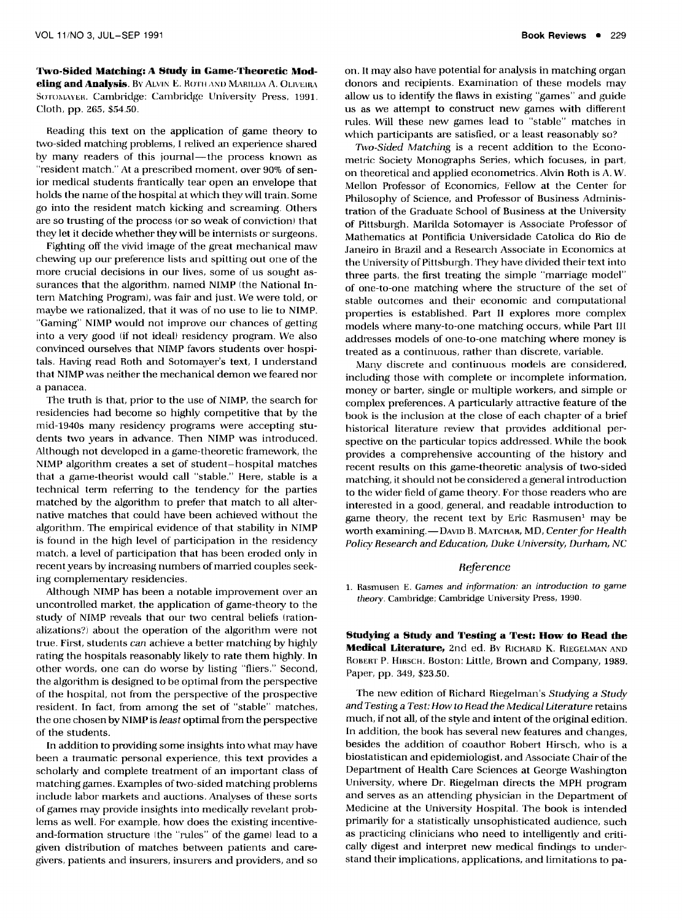Book Reviews  $\bullet$ 229

Two-Sided Matching: A Study in Game-Theoretic Modeling and Analysis. BY ALVIN E. ROTH AND MARILDA A. OLIVEIRA SOTOMAYER. Cambridge: Cambridge University Press, 1991. Cloth, pp. 265, \$54.50.

Reading this text on the application of game theory to two-sided matching problems, I relived an experience shared by many readers of this journal—the process known as "resident match." At a prescribed moment, over 90% of senior medical students frantically tear open an envelope that holds the name of the hospital at which they will train. Some go into the resident match kicking and screaming. Others are so trusting of the process (or so weak of conviction) that they let it decide whether they will be internists or surgeons.

Fighting off the vivid image of the great mechanical maw chewing up our preference lists and spitting out one of the more crucial decisions in our lives, some of us sought assurances that the algorithm, named NIMP (the National Intern Matching Program), was fair and just. We were told, or maybe we rationalized, that it was of no use to lie to NIMP. "Gaming" NIMP would not improve our chances of getting into a very good (if not ideal) residency program. We also convinced ourselves that NIMP favors students over hospitals. Having read Roth and Sotomayer's text, I understand that NIMP was neither the mechanical demon we feared nor a panacea.

The truth is that, prior to the use of NIMP, the search for residencies had become so highly competitive that by the mid-1940s many residency programs were accepting students two years in advance. Then NIMP was introduced. Although not developed in a game-theoretic framework, the NIMP algorithm creates a set of student-hospital matches that a game-theorist would call "stable." Here, stable is a technical term referring to the tendency for the parties matched by the algorithm to prefer that match to all alternative matches that could have been achieved without the algorithm. The empirical evidence of that stability in NIMP is found in the high level of participation in the residency match, a level of participation that has been eroded only in recent years by increasing numbers of married couples seeking complementary residencies.

Although NIMP has been a notable improvement over an uncontrolled market, the application of game-theory to the study of NIMP reveals that our two central beliefs (rationalizations?) about the operation of the algorithm were not true. First, students can achieve a better matching by highly rating the hospitals reasonably likely to rate them highly. In other words, one can do worse by listing "fliers." Second, the algorithm is designed to be optimal from the perspective of the hospital, not from the perspective of the prospective resident. In fact, from among the set of "stable" matches, the one chosen by NIMP is least optimal from the perspective of the students.

In addition to providing some insights into what may have been a traumatic personal experience, this text provides a scholarly and complete treatment of an important class of matching games. Examples of two-sided matching problems include labor markets and auctions. Analyses of these sorts of games may provide insights into medically revelant problems as well. For example, how does the existing incentiveand-formation structure (the "rules" of the game) lead to a given distribution of matches between patients and caregivers, patients and insurers, insurers and providers, and so on. It may also have potential for analysis in matching organ donors and recipients. Examination of these models may allow us to identify the flaws in existing "games" and guide us as we attempt to construct new games with different rules. Will these new games lead to "stable" matches in which participants are satisfied, or a least reasonably so?

Two-Sided Matching is a recent addition to the Econometric Society Monographs Series, which focuses, in part, on theoretical and applied econometrics. Alvin Roth is A. W. Mellon Professor of Economics, Fellow at the Center for Philosophy of Science, and Professor of Business Administration of the Graduate School of Business at the University of Pittsburgh. Marilda Sotomayer is Associate Professor of Mathematics at Pontificia Universidade Catolica do Rio de Janeiro in Brazil and a Research Associate in Economics at the University of Pittsburgh. They have divided their text into three parts, the first treating the simple "marriage model" of one-to-one matching where the structure of the set of stable outcomes and their economic and computational properties is established. Part II explores more complex models where many-to-one matching occurs, while Part III addresses models of one-to-one matching where money is treated as a continuous, rather than discrete, variable.

Many discrete and continuous models are considered, including those with complete or incomplete information, money or barter, single or multiple workers, and simple or complex preferences. A particularly attractive feature of the book is the inclusion at the close of each chapter of a brief historical literature review that provides additional perspective on the particular topics addressed. While the book provides a comprehensive accounting of the history and recent results on this game-theoretic analysis of two-sided matching, it should not be considered a general introduction to the wider field of game theory. For those readers who are interested in a good, general, and readable introduction to game theory, the recent text by Eric Rasmusen<sup>1</sup> may be worth examining.--DAVID B. MATCHAR, MD, Center for Health Policy Research and Education, Duke University, Durham, NC

## Reference

1. Rasmusen E. Games and information: an introduction to game theory. Cambridge; Cambridge University Press, 1990.

Studying a Study and Testing a Test: How to Read the Medical Literature, 2nd ed. BY RICHARD K. RIEGELMAN AND ROBERT P. HIRSCH. Boston: Little, Brown and Company, 1989. Paper, pp. 349, \$23.50.

The new edition of Richard Riegelman's Studying a Study and Testing a Test: How to Read the Medical Literature retains much, if not all, of the style and intent of the original edition. In addition, the book has several new features and changes, besides the addition of coauthor Robert Hirsch, who is a biostatistican and epidemiologist, and Associate Chair of the Department of Health Care Sciences at George Washington University, where Dr. Riegelman directs the MPH program and serves as an attending physician in the Department of Medicine at the University Hospital. The book is intended primarily for a statistically unsophisticated audience, such as practicing clinicians who need to intelligently and critically digest and interpret new medical findings to understand their implications, applications, and limitations to pa